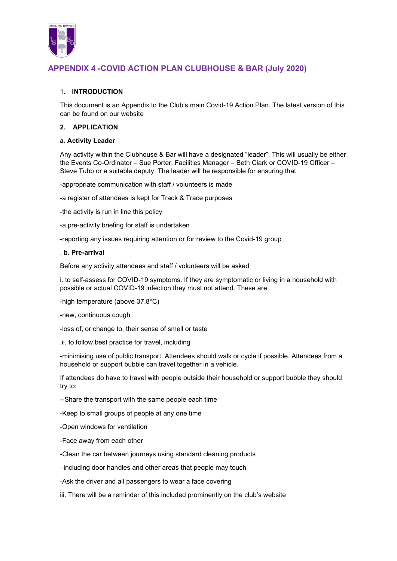

## 1. INTRODUCTION

This document is an Appendix to the Club's main Covid-19 Action Plan. The latest version of this can be found on our website

### 2. APPLICATION

#### a. Activity Leader

Any activity within the Clubhouse & Bar will have a designated "leader". This will usually be either the Events Co-Ordinator – Sue Porter, Facilities Manager – Beth Clark or COVID-19 Officer – Steve Tubb or a suitable deputy. The leader will be responsible for ensuring that

-appropriate communication with staff / volunteers is made

-a register of attendees is kept for Track & Trace purposes

-the activity is run in line this policy

-a pre-activity briefing for staff is undertaken

-reporting any issues requiring attention or for review to the Covid-19 group

### . b. Pre-arrival

Before any activity attendees and staff / volunteers will be asked

i. to self-assess for COVID-19 symptoms. If they are symptomatic or living in a household with possible or actual COVID-19 infection they must not attend. These are

-high temperature (above 37.8°C)

-new, continuous cough

-loss of, or change to, their sense of smell or taste

.ii. to follow best practice for travel, including

-minimising use of public transport. Attendees should walk or cycle if possible. Attendees from a household or support bubble can travel together in a vehicle.

If attendees do have to travel with people outside their household or support bubble they should try to:

--Share the transport with the same people each time

-Keep to small groups of people at any one time

-Open windows for ventilation

-Face away from each other

-Clean the car between journeys using standard cleaning products

–including door handles and other areas that people may touch

-Ask the driver and all passengers to wear a face covering

iii. There will be a reminder of this included prominently on the club's website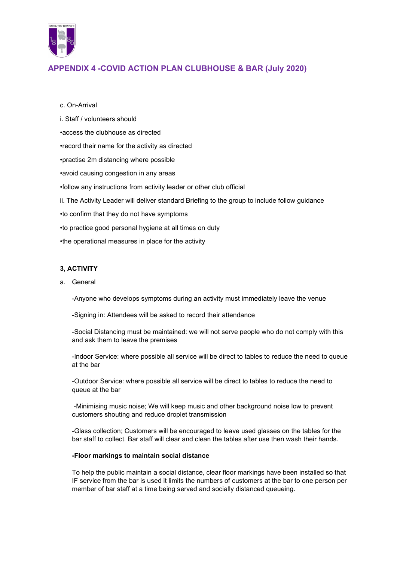

### c. On-Arrival

- i. Staff / volunteers should
- •access the clubhouse as directed
- •record their name for the activity as directed
- •practise 2m distancing where possible
- •avoid causing congestion in any areas
- •follow any instructions from activity leader or other club official
- ii. The Activity Leader will deliver standard Briefing to the group to include follow guidance
- •to confirm that they do not have symptoms
- •to practice good personal hygiene at all times on duty
- •the operational measures in place for the activity

## 3, ACTIVITY

a. General

-Anyone who develops symptoms during an activity must immediately leave the venue

-Signing in: Attendees will be asked to record their attendance

-Social Distancing must be maintained: we will not serve people who do not comply with this and ask them to leave the premises

-Indoor Service: where possible all service will be direct to tables to reduce the need to queue at the bar

-Outdoor Service: where possible all service will be direct to tables to reduce the need to queue at the bar

 -Minimising music noise; We will keep music and other background noise low to prevent customers shouting and reduce droplet transmission

-Glass collection; Customers will be encouraged to leave used glasses on the tables for the bar staff to collect. Bar staff will clear and clean the tables after use then wash their hands.

#### -Floor markings to maintain social distance

To help the public maintain a social distance, clear floor markings have been installed so that IF service from the bar is used it limits the numbers of customers at the bar to one person per member of bar staff at a time being served and socially distanced queueing.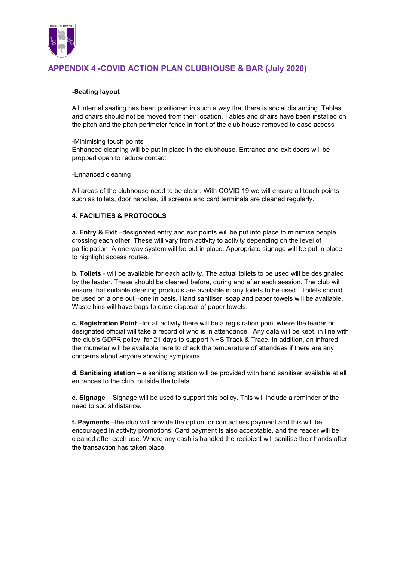

### -Seating layout

All internal seating has been positioned in such a way that there is social distancing. Tables and chairs should not be moved from their location. Tables and chairs have been installed on the pitch and the pitch perimeter fence in front of the club house removed to ease access

#### -Minimising touch points

Enhanced cleaning will be put in place in the clubhouse. Entrance and exit doors will be propped open to reduce contact.

### -Enhanced cleaning

All areas of the clubhouse need to be clean. With COVID 19 we will ensure all touch points such as toilets, door handles, till screens and card terminals are cleaned regularly.

## 4. FACILITIES & PROTOCOLS

a. Entry & Exit –designated entry and exit points will be put into place to minimise people crossing each other. These will vary from activity to activity depending on the level of participation. A one-way system will be put in place. Appropriate signage will be put in place to highlight access routes.

b. Toilets - will be available for each activity. The actual toilets to be used will be designated by the leader. These should be cleaned before, during and after each session. The club will ensure that suitable cleaning products are available in any toilets to be used. Toilets should be used on a one out –one in basis. Hand sanitiser, soap and paper towels will be available. Waste bins will have bags to ease disposal of paper towels.

c. Registration Point –for all activity there will be a registration point where the leader or designated official will take a record of who is in attendance. Any data will be kept, in line with the club's GDPR policy, for 21 days to support NHS Track & Trace. In addition, an infrared thermometer will be available here to check the temperature of attendees if there are any concerns about anyone showing symptoms.

d. Sanitising station – a sanitising station will be provided with hand sanitiser available at all entrances to the club, outside the toilets

e. Signage – Signage will be used to support this policy. This will include a reminder of the need to social distance.

f. Payments –the club will provide the option for contactless payment and this will be encouraged in activity promotions. Card payment is also acceptable, and the reader will be cleaned after each use. Where any cash is handled the recipient will sanitise their hands after the transaction has taken place.